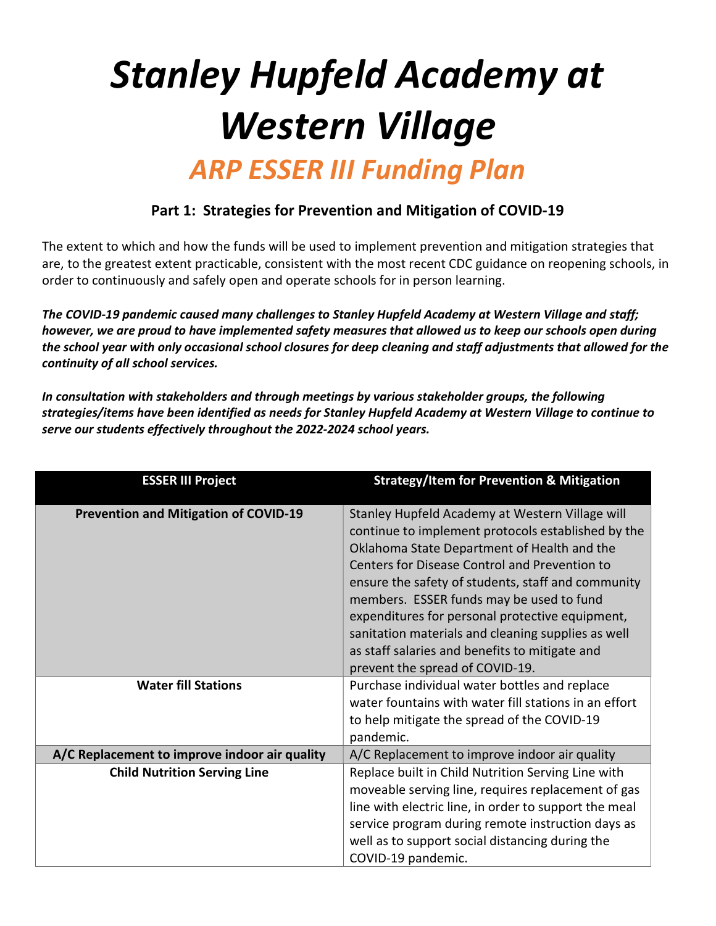# Stanley Hupfeld Academy at Western Village ARP ESSER III Funding Plan

### Part 1: Strategies for Prevention and Mitigation of COVID-19

The extent to which and how the funds will be used to implement prevention and mitigation strategies that are, to the greatest extent practicable, consistent with the most recent CDC guidance on reopening schools, in order to continuously and safely open and operate schools for in person learning.

The COVID-19 pandemic caused many challenges to Stanley Hupfeld Academy at Western Village and staff; however, we are proud to have implemented safety measures that allowed us to keep our schools open during the school year with only occasional school closures for deep cleaning and staff adjustments that allowed for the continuity of all school services.

In consultation with stakeholders and through meetings by various stakeholder groups, the following strategies/items have been identified as needs for Stanley Hupfeld Academy at Western Village to continue to serve our students effectively throughout the 2022-2024 school years.

| <b>ESSER III Project</b>                      | <b>Strategy/Item for Prevention &amp; Mitigation</b>                                                                                                                                                                                                                                                                                                                                                                                                                                                  |
|-----------------------------------------------|-------------------------------------------------------------------------------------------------------------------------------------------------------------------------------------------------------------------------------------------------------------------------------------------------------------------------------------------------------------------------------------------------------------------------------------------------------------------------------------------------------|
| <b>Prevention and Mitigation of COVID-19</b>  | Stanley Hupfeld Academy at Western Village will<br>continue to implement protocols established by the<br>Oklahoma State Department of Health and the<br>Centers for Disease Control and Prevention to<br>ensure the safety of students, staff and community<br>members. ESSER funds may be used to fund<br>expenditures for personal protective equipment,<br>sanitation materials and cleaning supplies as well<br>as staff salaries and benefits to mitigate and<br>prevent the spread of COVID-19. |
| <b>Water fill Stations</b>                    | Purchase individual water bottles and replace<br>water fountains with water fill stations in an effort<br>to help mitigate the spread of the COVID-19<br>pandemic.                                                                                                                                                                                                                                                                                                                                    |
| A/C Replacement to improve indoor air quality | A/C Replacement to improve indoor air quality                                                                                                                                                                                                                                                                                                                                                                                                                                                         |
| <b>Child Nutrition Serving Line</b>           | Replace built in Child Nutrition Serving Line with<br>moveable serving line, requires replacement of gas<br>line with electric line, in order to support the meal<br>service program during remote instruction days as<br>well as to support social distancing during the<br>COVID-19 pandemic.                                                                                                                                                                                                       |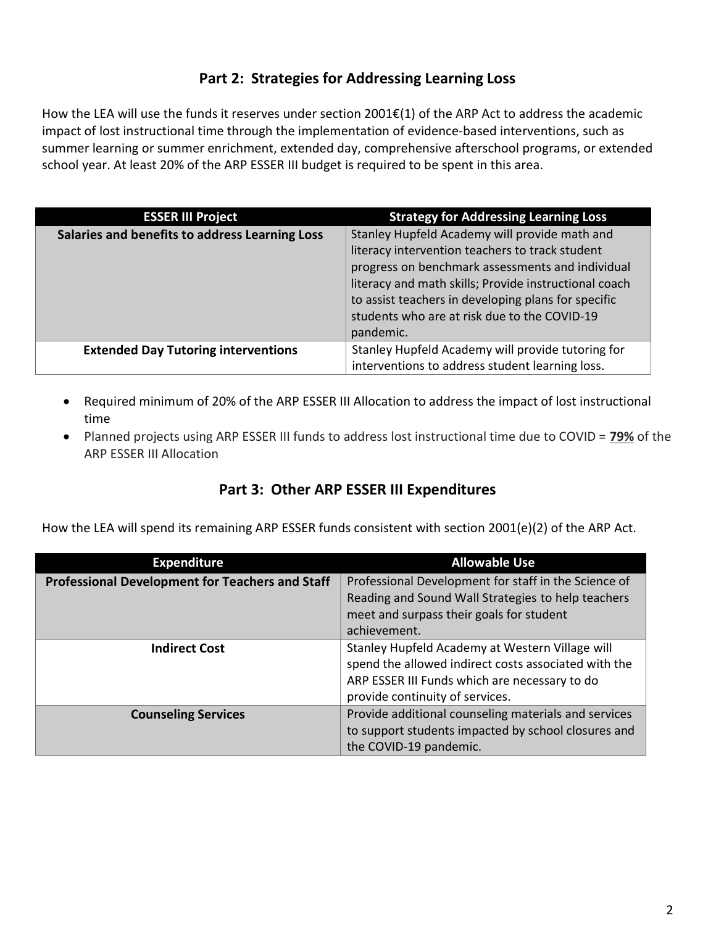### Part 2: Strategies for Addressing Learning Loss

How the LEA will use the funds it reserves under section 2001€(1) of the ARP Act to address the academic impact of lost instructional time through the implementation of evidence-based interventions, such as summer learning or summer enrichment, extended day, comprehensive afterschool programs, or extended school year. At least 20% of the ARP ESSER III budget is required to be spent in this area.

| <b>ESSER III Project</b>                       | <b>Strategy for Addressing Learning Loss</b>          |
|------------------------------------------------|-------------------------------------------------------|
| Salaries and benefits to address Learning Loss | Stanley Hupfeld Academy will provide math and         |
|                                                | literacy intervention teachers to track student       |
|                                                | progress on benchmark assessments and individual      |
|                                                | literacy and math skills; Provide instructional coach |
|                                                | to assist teachers in developing plans for specific   |
|                                                | students who are at risk due to the COVID-19          |
|                                                | pandemic.                                             |
| <b>Extended Day Tutoring interventions</b>     | Stanley Hupfeld Academy will provide tutoring for     |
|                                                | interventions to address student learning loss.       |

- Required minimum of 20% of the ARP ESSER III Allocation to address the impact of lost instructional time
- Planned projects using ARP ESSER III funds to address lost instructional time due to COVID = 79% of the ARP ESSER III Allocation

## Part 3: Other ARP ESSER III Expenditures

How the LEA will spend its remaining ARP ESSER funds consistent with section 2001(e)(2) of the ARP Act.

| <b>Expenditure</b>                                     | <b>Allowable Use</b>                                 |
|--------------------------------------------------------|------------------------------------------------------|
| <b>Professional Development for Teachers and Staff</b> | Professional Development for staff in the Science of |
|                                                        | Reading and Sound Wall Strategies to help teachers   |
|                                                        | meet and surpass their goals for student             |
|                                                        | achievement.                                         |
| <b>Indirect Cost</b>                                   | Stanley Hupfeld Academy at Western Village will      |
|                                                        | spend the allowed indirect costs associated with the |
|                                                        | ARP ESSER III Funds which are necessary to do        |
|                                                        | provide continuity of services.                      |
| <b>Counseling Services</b>                             | Provide additional counseling materials and services |
|                                                        | to support students impacted by school closures and  |
|                                                        | the COVID-19 pandemic.                               |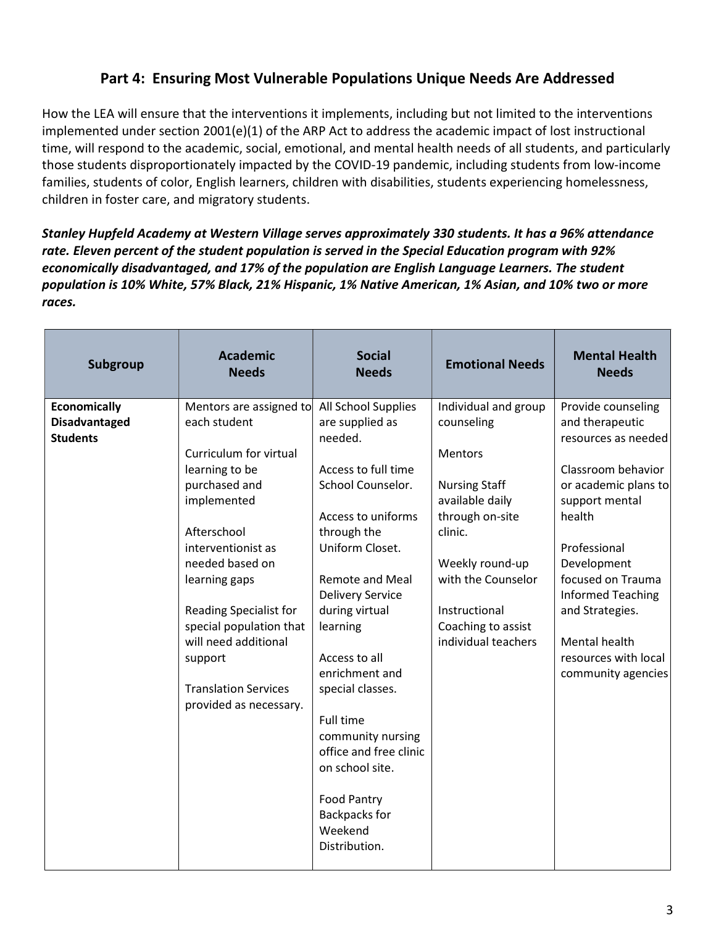### Part 4: Ensuring Most Vulnerable Populations Unique Needs Are Addressed

How the LEA will ensure that the interventions it implements, including but not limited to the interventions implemented under section 2001(e)(1) of the ARP Act to address the academic impact of lost instructional time, will respond to the academic, social, emotional, and mental health needs of all students, and particularly those students disproportionately impacted by the COVID-19 pandemic, including students from low-income families, students of color, English learners, children with disabilities, students experiencing homelessness, children in foster care, and migratory students.

Stanley Hupfeld Academy at Western Village serves approximately 330 students. It has a 96% attendance rate. Eleven percent of the student population is served in the Special Education program with 92% economically disadvantaged, and 17% of the population are English Language Learners. The student population is 10% White, 57% Black, 21% Hispanic, 1% Native American, 1% Asian, and 10% two or more races.

| Subgroup             | <b>Academic</b><br><b>Needs</b>                       | <b>Social</b><br><b>Needs</b>                     | <b>Emotional Needs</b>             | <b>Mental Health</b><br><b>Needs</b>          |
|----------------------|-------------------------------------------------------|---------------------------------------------------|------------------------------------|-----------------------------------------------|
| <b>Economically</b>  | Mentors are assigned to                               | All School Supplies                               | Individual and group               | Provide counseling                            |
| <b>Disadvantaged</b> | each student                                          | are supplied as                                   | counseling                         | and therapeutic                               |
| <b>Students</b>      |                                                       | needed.                                           |                                    | resources as needed                           |
|                      | Curriculum for virtual                                |                                                   | <b>Mentors</b>                     |                                               |
|                      | learning to be                                        | Access to full time                               |                                    | Classroom behavior                            |
|                      | purchased and                                         | School Counselor.                                 | <b>Nursing Staff</b>               | or academic plans to                          |
|                      | implemented                                           | Access to uniforms                                | available daily<br>through on-site | support mental<br>health                      |
|                      | Afterschool                                           | through the                                       | clinic.                            |                                               |
|                      | interventionist as                                    | Uniform Closet.                                   |                                    | Professional                                  |
|                      | needed based on                                       |                                                   | Weekly round-up                    | Development                                   |
|                      | learning gaps                                         | <b>Remote and Meal</b><br><b>Delivery Service</b> | with the Counselor                 | focused on Trauma<br><b>Informed Teaching</b> |
|                      | Reading Specialist for                                | during virtual                                    | Instructional                      | and Strategies.                               |
|                      | special population that                               | learning                                          | Coaching to assist                 |                                               |
|                      | will need additional                                  |                                                   | individual teachers                | Mental health                                 |
|                      | support                                               | Access to all                                     |                                    | resources with local                          |
|                      |                                                       | enrichment and                                    |                                    | community agencies                            |
|                      | <b>Translation Services</b><br>provided as necessary. | special classes.                                  |                                    |                                               |
|                      |                                                       | <b>Full time</b>                                  |                                    |                                               |
|                      |                                                       | community nursing                                 |                                    |                                               |
|                      |                                                       | office and free clinic                            |                                    |                                               |
|                      |                                                       | on school site.                                   |                                    |                                               |
|                      |                                                       | <b>Food Pantry</b>                                |                                    |                                               |
|                      |                                                       | Backpacks for                                     |                                    |                                               |
|                      |                                                       | Weekend<br>Distribution.                          |                                    |                                               |
|                      |                                                       |                                                   |                                    |                                               |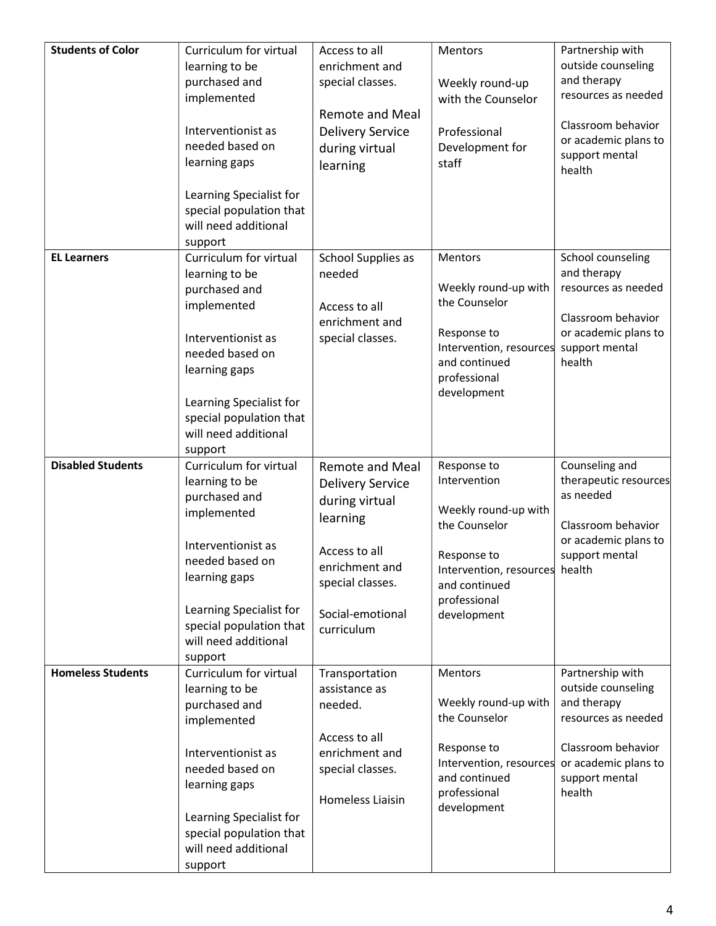| <b>Students of Color</b> | Curriculum for virtual          | Access to all           | <b>Mentors</b>                 | Partnership with      |
|--------------------------|---------------------------------|-------------------------|--------------------------------|-----------------------|
|                          | learning to be                  | enrichment and          |                                | outside counseling    |
|                          | purchased and                   | special classes.        | Weekly round-up                | and therapy           |
|                          | implemented                     |                         | with the Counselor             | resources as needed   |
|                          |                                 | <b>Remote and Meal</b>  |                                |                       |
|                          | Interventionist as              | <b>Delivery Service</b> | Professional                   | Classroom behavior    |
|                          | needed based on                 | during virtual          | Development for                | or academic plans to  |
|                          | learning gaps                   |                         | staff                          | support mental        |
|                          |                                 | learning                |                                | health                |
|                          | Learning Specialist for         |                         |                                |                       |
|                          | special population that         |                         |                                |                       |
|                          | will need additional            |                         |                                |                       |
|                          | support                         |                         |                                |                       |
| <b>EL Learners</b>       | Curriculum for virtual          | School Supplies as      | Mentors                        | School counseling     |
|                          | learning to be                  | needed                  |                                | and therapy           |
|                          | purchased and                   |                         | Weekly round-up with           | resources as needed   |
|                          | implemented                     | Access to all           | the Counselor                  |                       |
|                          |                                 | enrichment and          |                                | Classroom behavior    |
|                          | Interventionist as              | special classes.        | Response to                    | or academic plans to  |
|                          | needed based on                 |                         | Intervention, resources        | support mental        |
|                          | learning gaps                   |                         | and continued                  | health                |
|                          |                                 |                         | professional                   |                       |
|                          | Learning Specialist for         |                         | development                    |                       |
|                          | special population that         |                         |                                |                       |
|                          | will need additional            |                         |                                |                       |
|                          | support                         |                         |                                |                       |
| <b>Disabled Students</b> | Curriculum for virtual          | <b>Remote and Meal</b>  | Response to                    | Counseling and        |
|                          | learning to be                  | <b>Delivery Service</b> | Intervention                   | therapeutic resources |
|                          | purchased and                   | during virtual          |                                | as needed             |
|                          | implemented                     | learning                | Weekly round-up with           |                       |
|                          |                                 |                         | the Counselor                  | Classroom behavior    |
|                          | Interventionist as              | Access to all           |                                | or academic plans to  |
|                          | needed based on                 | enrichment and          | Response to                    | support mental        |
|                          | learning gaps                   | special classes.        | Intervention, resources health |                       |
|                          |                                 |                         | and continued<br>professional  |                       |
|                          | Learning Specialist for         | Social-emotional        | development                    |                       |
|                          | special population that         | curriculum              |                                |                       |
|                          | will need additional            |                         |                                |                       |
|                          | support                         |                         |                                |                       |
| <b>Homeless Students</b> | Curriculum for virtual          | Transportation          | <b>Mentors</b>                 | Partnership with      |
|                          | learning to be                  | assistance as           |                                | outside counseling    |
|                          |                                 |                         |                                |                       |
|                          | purchased and                   | needed.                 | Weekly round-up with           | and therapy           |
|                          | implemented                     |                         | the Counselor                  | resources as needed   |
|                          |                                 | Access to all           |                                |                       |
|                          | Interventionist as              | enrichment and          | Response to                    | Classroom behavior    |
|                          | needed based on                 | special classes.        | Intervention, resources        | or academic plans to  |
|                          | learning gaps                   |                         | and continued                  | support mental        |
|                          |                                 | Homeless Liaisin        | professional                   | health                |
|                          | Learning Specialist for         |                         | development                    |                       |
|                          | special population that         |                         |                                |                       |
|                          | will need additional<br>support |                         |                                |                       |